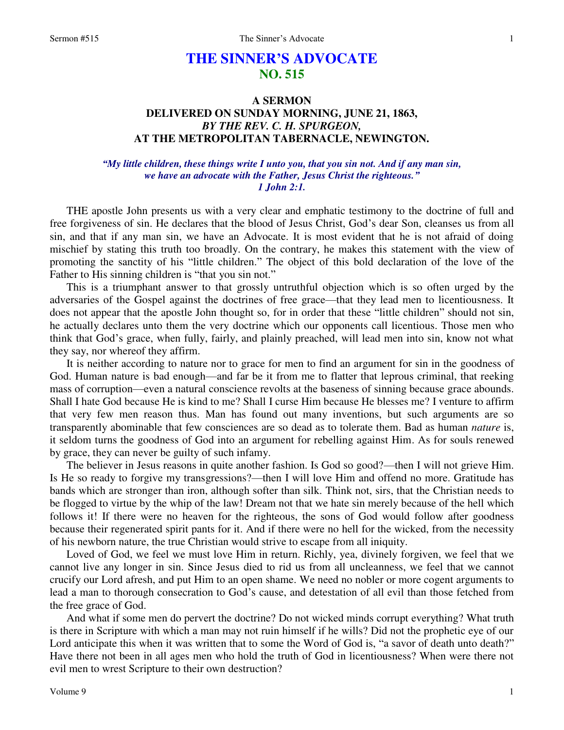# **THE SINNER'S ADVOCATE NO. 515**

# **A SERMON DELIVERED ON SUNDAY MORNING, JUNE 21, 1863,**  *BY THE REV. C. H. SPURGEON,*  **AT THE METROPOLITAN TABERNACLE, NEWINGTON.**

## *"My little children, these things write I unto you, that you sin not. And if any man sin, we have an advocate with the Father, Jesus Christ the righteous." 1 John 2:1.*

THE apostle John presents us with a very clear and emphatic testimony to the doctrine of full and free forgiveness of sin. He declares that the blood of Jesus Christ, God's dear Son, cleanses us from all sin, and that if any man sin, we have an Advocate. It is most evident that he is not afraid of doing mischief by stating this truth too broadly. On the contrary, he makes this statement with the view of promoting the sanctity of his "little children." The object of this bold declaration of the love of the Father to His sinning children is "that you sin not."

This is a triumphant answer to that grossly untruthful objection which is so often urged by the adversaries of the Gospel against the doctrines of free grace—that they lead men to licentiousness. It does not appear that the apostle John thought so, for in order that these "little children" should not sin, he actually declares unto them the very doctrine which our opponents call licentious. Those men who think that God's grace, when fully, fairly, and plainly preached, will lead men into sin, know not what they say, nor whereof they affirm.

It is neither according to nature nor to grace for men to find an argument for sin in the goodness of God. Human nature is bad enough—and far be it from me to flatter that leprous criminal, that reeking mass of corruption—even a natural conscience revolts at the baseness of sinning because grace abounds. Shall I hate God because He is kind to me? Shall I curse Him because He blesses me? I venture to affirm that very few men reason thus. Man has found out many inventions, but such arguments are so transparently abominable that few consciences are so dead as to tolerate them. Bad as human *nature* is, it seldom turns the goodness of God into an argument for rebelling against Him. As for souls renewed by grace, they can never be guilty of such infamy.

The believer in Jesus reasons in quite another fashion. Is God so good?—then I will not grieve Him. Is He so ready to forgive my transgressions?—then I will love Him and offend no more. Gratitude has bands which are stronger than iron, although softer than silk. Think not, sirs, that the Christian needs to be flogged to virtue by the whip of the law! Dream not that we hate sin merely because of the hell which follows it! If there were no heaven for the righteous, the sons of God would follow after goodness because their regenerated spirit pants for it. And if there were no hell for the wicked, from the necessity of his newborn nature, the true Christian would strive to escape from all iniquity.

Loved of God, we feel we must love Him in return. Richly, yea, divinely forgiven, we feel that we cannot live any longer in sin. Since Jesus died to rid us from all uncleanness, we feel that we cannot crucify our Lord afresh, and put Him to an open shame. We need no nobler or more cogent arguments to lead a man to thorough consecration to God's cause, and detestation of all evil than those fetched from the free grace of God.

And what if some men do pervert the doctrine? Do not wicked minds corrupt everything? What truth is there in Scripture with which a man may not ruin himself if he wills? Did not the prophetic eye of our Lord anticipate this when it was written that to some the Word of God is, "a savor of death unto death?" Have there not been in all ages men who hold the truth of God in licentiousness? When were there not evil men to wrest Scripture to their own destruction?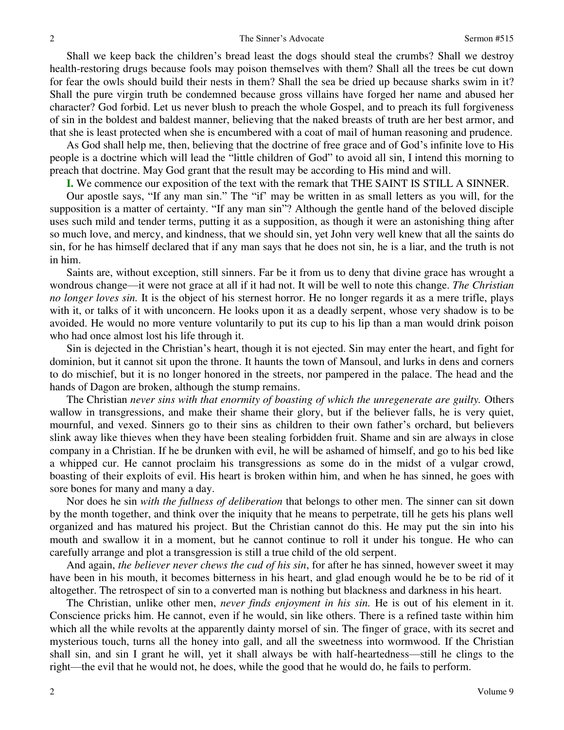Shall we keep back the children's bread least the dogs should steal the crumbs? Shall we destroy health-restoring drugs because fools may poison themselves with them? Shall all the trees be cut down for fear the owls should build their nests in them? Shall the sea be dried up because sharks swim in it? Shall the pure virgin truth be condemned because gross villains have forged her name and abused her character? God forbid. Let us never blush to preach the whole Gospel, and to preach its full forgiveness of sin in the boldest and baldest manner, believing that the naked breasts of truth are her best armor, and that she is least protected when she is encumbered with a coat of mail of human reasoning and prudence.

As God shall help me, then, believing that the doctrine of free grace and of God's infinite love to His people is a doctrine which will lead the "little children of God" to avoid all sin, I intend this morning to preach that doctrine. May God grant that the result may be according to His mind and will.

**I.** We commence our exposition of the text with the remark that THE SAINT IS STILL A SINNER.

Our apostle says, "If any man sin." The "if' may be written in as small letters as you will, for the supposition is a matter of certainty. "If any man sin"? Although the gentle hand of the beloved disciple uses such mild and tender terms, putting it as a supposition, as though it were an astonishing thing after so much love, and mercy, and kindness, that we should sin, yet John very well knew that all the saints do sin, for he has himself declared that if any man says that he does not sin, he is a liar, and the truth is not in him.

Saints are, without exception, still sinners. Far be it from us to deny that divine grace has wrought a wondrous change—it were not grace at all if it had not. It will be well to note this change. *The Christian no longer loves sin.* It is the object of his sternest horror. He no longer regards it as a mere trifle, plays with it, or talks of it with unconcern. He looks upon it as a deadly serpent, whose very shadow is to be avoided. He would no more venture voluntarily to put its cup to his lip than a man would drink poison who had once almost lost his life through it.

Sin is dejected in the Christian's heart, though it is not ejected. Sin may enter the heart, and fight for dominion, but it cannot sit upon the throne. It haunts the town of Mansoul, and lurks in dens and corners to do mischief, but it is no longer honored in the streets, nor pampered in the palace. The head and the hands of Dagon are broken, although the stump remains.

The Christian *never sins with that enormity of boasting of which the unregenerate are guilty.* Others wallow in transgressions, and make their shame their glory, but if the believer falls, he is very quiet, mournful, and vexed. Sinners go to their sins as children to their own father's orchard, but believers slink away like thieves when they have been stealing forbidden fruit. Shame and sin are always in close company in a Christian. If he be drunken with evil, he will be ashamed of himself, and go to his bed like a whipped cur. He cannot proclaim his transgressions as some do in the midst of a vulgar crowd, boasting of their exploits of evil. His heart is broken within him, and when he has sinned, he goes with sore bones for many and many a day.

Nor does he sin *with the fullness of deliberation* that belongs to other men. The sinner can sit down by the month together, and think over the iniquity that he means to perpetrate, till he gets his plans well organized and has matured his project. But the Christian cannot do this. He may put the sin into his mouth and swallow it in a moment, but he cannot continue to roll it under his tongue. He who can carefully arrange and plot a transgression is still a true child of the old serpent.

And again, *the believer never chews the cud of his sin*, for after he has sinned, however sweet it may have been in his mouth, it becomes bitterness in his heart, and glad enough would he be to be rid of it altogether. The retrospect of sin to a converted man is nothing but blackness and darkness in his heart.

The Christian, unlike other men, *never finds enjoyment in his sin.* He is out of his element in it. Conscience pricks him. He cannot, even if he would, sin like others. There is a refined taste within him which all the while revolts at the apparently dainty morsel of sin. The finger of grace, with its secret and mysterious touch, turns all the honey into gall, and all the sweetness into wormwood. If the Christian shall sin, and sin I grant he will, yet it shall always be with half-heartedness—still he clings to the right—the evil that he would not, he does, while the good that he would do, he fails to perform.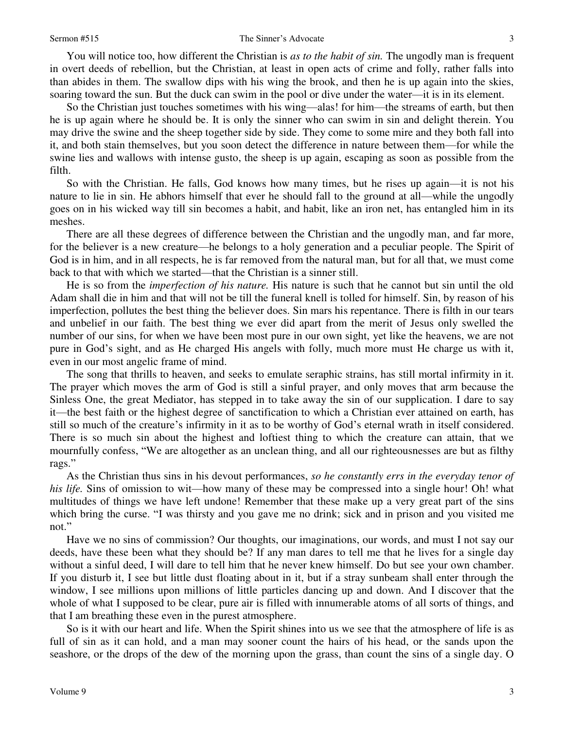#### Sermon #515 The Sinner's Advocate

3

You will notice too, how different the Christian is *as to the habit of sin.* The ungodly man is frequent in overt deeds of rebellion, but the Christian, at least in open acts of crime and folly, rather falls into than abides in them. The swallow dips with his wing the brook, and then he is up again into the skies, soaring toward the sun. But the duck can swim in the pool or dive under the water—it is in its element.

So the Christian just touches sometimes with his wing—alas! for him—the streams of earth, but then he is up again where he should be. It is only the sinner who can swim in sin and delight therein. You may drive the swine and the sheep together side by side. They come to some mire and they both fall into it, and both stain themselves, but you soon detect the difference in nature between them—for while the swine lies and wallows with intense gusto, the sheep is up again, escaping as soon as possible from the filth.

So with the Christian. He falls, God knows how many times, but he rises up again—it is not his nature to lie in sin. He abhors himself that ever he should fall to the ground at all—while the ungodly goes on in his wicked way till sin becomes a habit, and habit, like an iron net, has entangled him in its meshes.

There are all these degrees of difference between the Christian and the ungodly man, and far more, for the believer is a new creature—he belongs to a holy generation and a peculiar people. The Spirit of God is in him, and in all respects, he is far removed from the natural man, but for all that, we must come back to that with which we started—that the Christian is a sinner still.

He is so from the *imperfection of his nature.* His nature is such that he cannot but sin until the old Adam shall die in him and that will not be till the funeral knell is tolled for himself. Sin, by reason of his imperfection, pollutes the best thing the believer does. Sin mars his repentance. There is filth in our tears and unbelief in our faith. The best thing we ever did apart from the merit of Jesus only swelled the number of our sins, for when we have been most pure in our own sight, yet like the heavens, we are not pure in God's sight, and as He charged His angels with folly, much more must He charge us with it, even in our most angelic frame of mind.

The song that thrills to heaven, and seeks to emulate seraphic strains, has still mortal infirmity in it. The prayer which moves the arm of God is still a sinful prayer, and only moves that arm because the Sinless One, the great Mediator, has stepped in to take away the sin of our supplication. I dare to say it—the best faith or the highest degree of sanctification to which a Christian ever attained on earth, has still so much of the creature's infirmity in it as to be worthy of God's eternal wrath in itself considered. There is so much sin about the highest and loftiest thing to which the creature can attain, that we mournfully confess, "We are altogether as an unclean thing, and all our righteousnesses are but as filthy rags."

As the Christian thus sins in his devout performances, *so he constantly errs in the everyday tenor of his life.* Sins of omission to wit—how many of these may be compressed into a single hour! Oh! what multitudes of things we have left undone! Remember that these make up a very great part of the sins which bring the curse. "I was thirsty and you gave me no drink; sick and in prison and you visited me not."

Have we no sins of commission? Our thoughts, our imaginations, our words, and must I not say our deeds, have these been what they should be? If any man dares to tell me that he lives for a single day without a sinful deed, I will dare to tell him that he never knew himself. Do but see your own chamber. If you disturb it, I see but little dust floating about in it, but if a stray sunbeam shall enter through the window, I see millions upon millions of little particles dancing up and down. And I discover that the whole of what I supposed to be clear, pure air is filled with innumerable atoms of all sorts of things, and that I am breathing these even in the purest atmosphere.

So is it with our heart and life. When the Spirit shines into us we see that the atmosphere of life is as full of sin as it can hold, and a man may sooner count the hairs of his head, or the sands upon the seashore, or the drops of the dew of the morning upon the grass, than count the sins of a single day. O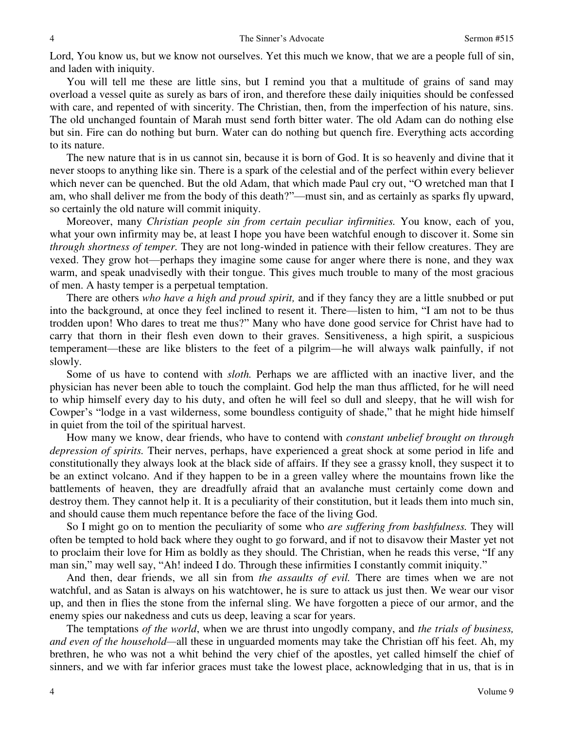Lord, You know us, but we know not ourselves. Yet this much we know, that we are a people full of sin, and laden with iniquity.

You will tell me these are little sins, but I remind you that a multitude of grains of sand may overload a vessel quite as surely as bars of iron, and therefore these daily iniquities should be confessed with care, and repented of with sincerity. The Christian, then, from the imperfection of his nature, sins. The old unchanged fountain of Marah must send forth bitter water. The old Adam can do nothing else but sin. Fire can do nothing but burn. Water can do nothing but quench fire. Everything acts according to its nature.

The new nature that is in us cannot sin, because it is born of God. It is so heavenly and divine that it never stoops to anything like sin. There is a spark of the celestial and of the perfect within every believer which never can be quenched. But the old Adam, that which made Paul cry out, "O wretched man that I am, who shall deliver me from the body of this death?"—must sin, and as certainly as sparks fly upward, so certainly the old nature will commit iniquity.

Moreover, many *Christian people sin from certain peculiar infirmities.* You know, each of you, what your own infirmity may be, at least I hope you have been watchful enough to discover it. Some sin *through shortness of temper.* They are not long-winded in patience with their fellow creatures. They are vexed. They grow hot—perhaps they imagine some cause for anger where there is none, and they wax warm, and speak unadvisedly with their tongue. This gives much trouble to many of the most gracious of men. A hasty temper is a perpetual temptation.

There are others *who have a high and proud spirit,* and if they fancy they are a little snubbed or put into the background, at once they feel inclined to resent it. There—listen to him, "I am not to be thus trodden upon! Who dares to treat me thus?" Many who have done good service for Christ have had to carry that thorn in their flesh even down to their graves. Sensitiveness, a high spirit, a suspicious temperament—these are like blisters to the feet of a pilgrim—he will always walk painfully, if not slowly.

Some of us have to contend with *sloth.* Perhaps we are afflicted with an inactive liver, and the physician has never been able to touch the complaint. God help the man thus afflicted, for he will need to whip himself every day to his duty, and often he will feel so dull and sleepy, that he will wish for Cowper's "lodge in a vast wilderness, some boundless contiguity of shade," that he might hide himself in quiet from the toil of the spiritual harvest.

How many we know, dear friends, who have to contend with *constant unbelief brought on through depression of spirits.* Their nerves, perhaps, have experienced a great shock at some period in life and constitutionally they always look at the black side of affairs. If they see a grassy knoll, they suspect it to be an extinct volcano. And if they happen to be in a green valley where the mountains frown like the battlements of heaven, they are dreadfully afraid that an avalanche must certainly come down and destroy them. They cannot help it. It is a peculiarity of their constitution, but it leads them into much sin, and should cause them much repentance before the face of the living God.

So I might go on to mention the peculiarity of some who *are suffering from bashfulness.* They will often be tempted to hold back where they ought to go forward, and if not to disavow their Master yet not to proclaim their love for Him as boldly as they should. The Christian, when he reads this verse, "If any man sin," may well say, "Ah! indeed I do. Through these infirmities I constantly commit iniquity."

And then, dear friends, we all sin from *the assaults of evil.* There are times when we are not watchful, and as Satan is always on his watchtower, he is sure to attack us just then. We wear our visor up, and then in flies the stone from the infernal sling. We have forgotten a piece of our armor, and the enemy spies our nakedness and cuts us deep, leaving a scar for years.

The temptations *of the world*, when we are thrust into ungodly company, and *the trials of business, and even of the household—*all these in unguarded moments may take the Christian off his feet. Ah, my brethren, he who was not a whit behind the very chief of the apostles, yet called himself the chief of sinners, and we with far inferior graces must take the lowest place, acknowledging that in us, that is in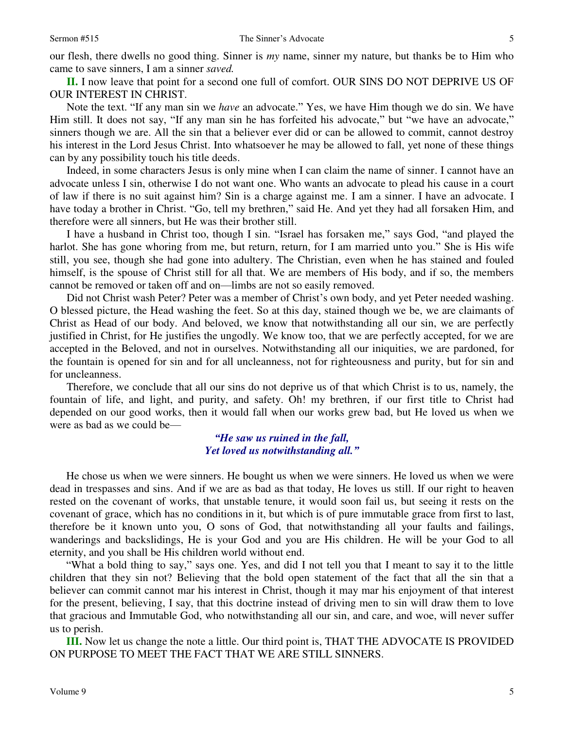**II.** I now leave that point for a second one full of comfort. OUR SINS DO NOT DEPRIVE US OF OUR INTEREST IN CHRIST.

Note the text. "If any man sin we *have* an advocate." Yes, we have Him though we do sin. We have Him still. It does not say, "If any man sin he has forfeited his advocate," but "we have an advocate," sinners though we are. All the sin that a believer ever did or can be allowed to commit, cannot destroy his interest in the Lord Jesus Christ. Into whatsoever he may be allowed to fall, yet none of these things can by any possibility touch his title deeds.

Indeed, in some characters Jesus is only mine when I can claim the name of sinner. I cannot have an advocate unless I sin, otherwise I do not want one. Who wants an advocate to plead his cause in a court of law if there is no suit against him? Sin is a charge against me. I am a sinner. I have an advocate. I have today a brother in Christ. "Go, tell my brethren," said He. And yet they had all forsaken Him, and therefore were all sinners, but He was their brother still.

I have a husband in Christ too, though I sin. "Israel has forsaken me," says God, "and played the harlot. She has gone whoring from me, but return, return, for I am married unto you." She is His wife still, you see, though she had gone into adultery. The Christian, even when he has stained and fouled himself, is the spouse of Christ still for all that. We are members of His body, and if so, the members cannot be removed or taken off and on—limbs are not so easily removed.

Did not Christ wash Peter? Peter was a member of Christ's own body, and yet Peter needed washing. O blessed picture, the Head washing the feet. So at this day, stained though we be, we are claimants of Christ as Head of our body. And beloved, we know that notwithstanding all our sin, we are perfectly justified in Christ, for He justifies the ungodly. We know too, that we are perfectly accepted, for we are accepted in the Beloved, and not in ourselves. Notwithstanding all our iniquities, we are pardoned, for the fountain is opened for sin and for all uncleanness, not for righteousness and purity, but for sin and for uncleanness.

Therefore, we conclude that all our sins do not deprive us of that which Christ is to us, namely, the fountain of life, and light, and purity, and safety. Oh! my brethren, if our first title to Christ had depended on our good works, then it would fall when our works grew bad, but He loved us when we were as bad as we could be—

# *"He saw us ruined in the fall, Yet loved us notwithstanding all."*

He chose us when we were sinners. He bought us when we were sinners. He loved us when we were dead in trespasses and sins. And if we are as bad as that today, He loves us still. If our right to heaven rested on the covenant of works, that unstable tenure, it would soon fail us, but seeing it rests on the covenant of grace, which has no conditions in it, but which is of pure immutable grace from first to last, therefore be it known unto you, O sons of God, that notwithstanding all your faults and failings, wanderings and backslidings, He is your God and you are His children. He will be your God to all eternity, and you shall be His children world without end.

"What a bold thing to say," says one. Yes, and did I not tell you that I meant to say it to the little children that they sin not? Believing that the bold open statement of the fact that all the sin that a believer can commit cannot mar his interest in Christ, though it may mar his enjoyment of that interest for the present, believing, I say, that this doctrine instead of driving men to sin will draw them to love that gracious and Immutable God, who notwithstanding all our sin, and care, and woe, will never suffer us to perish.

**III.** Now let us change the note a little. Our third point is, THAT THE ADVOCATE IS PROVIDED ON PURPOSE TO MEET THE FACT THAT WE ARE STILL SINNERS.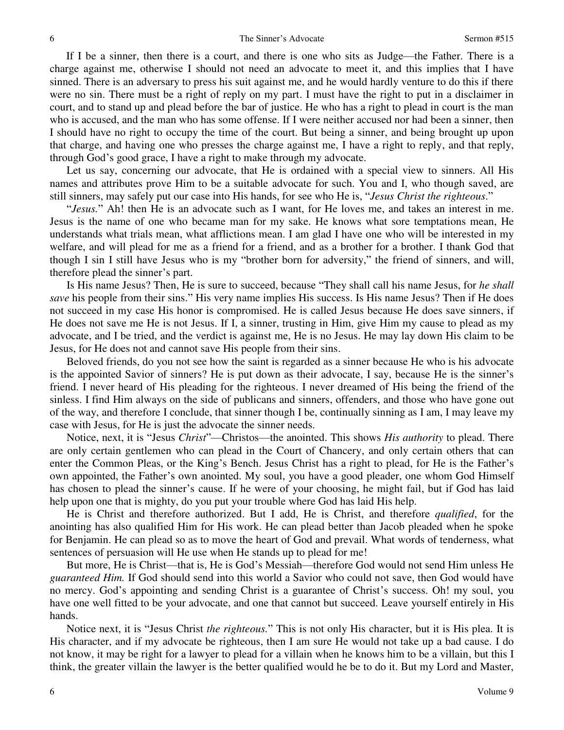If I be a sinner, then there is a court, and there is one who sits as Judge—the Father. There is a charge against me, otherwise I should not need an advocate to meet it, and this implies that I have sinned. There is an adversary to press his suit against me, and he would hardly venture to do this if there were no sin. There must be a right of reply on my part. I must have the right to put in a disclaimer in court, and to stand up and plead before the bar of justice. He who has a right to plead in court is the man who is accused, and the man who has some offense. If I were neither accused nor had been a sinner, then I should have no right to occupy the time of the court. But being a sinner, and being brought up upon that charge, and having one who presses the charge against me, I have a right to reply, and that reply, through God's good grace, I have a right to make through my advocate.

Let us say, concerning our advocate, that He is ordained with a special view to sinners. All His names and attributes prove Him to be a suitable advocate for such. You and I, who though saved, are still sinners, may safely put our case into His hands, for see who He is, "*Jesus Christ the righteous*."

"*Jesus.*" Ah! then He is an advocate such as I want, for He loves me, and takes an interest in me. Jesus is the name of one who became man for my sake. He knows what sore temptations mean, He understands what trials mean, what afflictions mean. I am glad I have one who will be interested in my welfare, and will plead for me as a friend for a friend, and as a brother for a brother. I thank God that though I sin I still have Jesus who is my "brother born for adversity," the friend of sinners, and will, therefore plead the sinner's part.

Is His name Jesus? Then, He is sure to succeed, because "They shall call his name Jesus, for *he shall save* his people from their sins." His very name implies His success. Is His name Jesus? Then if He does not succeed in my case His honor is compromised. He is called Jesus because He does save sinners, if He does not save me He is not Jesus. If I, a sinner, trusting in Him, give Him my cause to plead as my advocate, and I be tried, and the verdict is against me, He is no Jesus. He may lay down His claim to be Jesus, for He does not and cannot save His people from their sins.

Beloved friends, do you not see how the saint is regarded as a sinner because He who is his advocate is the appointed Savior of sinners? He is put down as their advocate, I say, because He is the sinner's friend. I never heard of His pleading for the righteous. I never dreamed of His being the friend of the sinless. I find Him always on the side of publicans and sinners, offenders, and those who have gone out of the way, and therefore I conclude, that sinner though I be, continually sinning as I am, I may leave my case with Jesus, for He is just the advocate the sinner needs.

Notice, next, it is "Jesus *Christ*"—Christos—the anointed. This shows *His authority* to plead. There are only certain gentlemen who can plead in the Court of Chancery, and only certain others that can enter the Common Pleas, or the King's Bench. Jesus Christ has a right to plead, for He is the Father's own appointed, the Father's own anointed. My soul, you have a good pleader, one whom God Himself has chosen to plead the sinner's cause. If he were of your choosing, he might fail, but if God has laid help upon one that is mighty, do you put your trouble where God has laid His help.

He is Christ and therefore authorized. But I add, He is Christ, and therefore *qualified*, for the anointing has also qualified Him for His work. He can plead better than Jacob pleaded when he spoke for Benjamin. He can plead so as to move the heart of God and prevail. What words of tenderness, what sentences of persuasion will He use when He stands up to plead for me!

But more, He is Christ—that is, He is God's Messiah—therefore God would not send Him unless He *guaranteed Him.* If God should send into this world a Savior who could not save, then God would have no mercy. God's appointing and sending Christ is a guarantee of Christ's success. Oh! my soul, you have one well fitted to be your advocate, and one that cannot but succeed. Leave yourself entirely in His hands.

Notice next, it is "Jesus Christ *the righteous.*" This is not only His character, but it is His plea. It is His character, and if my advocate be righteous, then I am sure He would not take up a bad cause. I do not know, it may be right for a lawyer to plead for a villain when he knows him to be a villain, but this I think, the greater villain the lawyer is the better qualified would he be to do it. But my Lord and Master,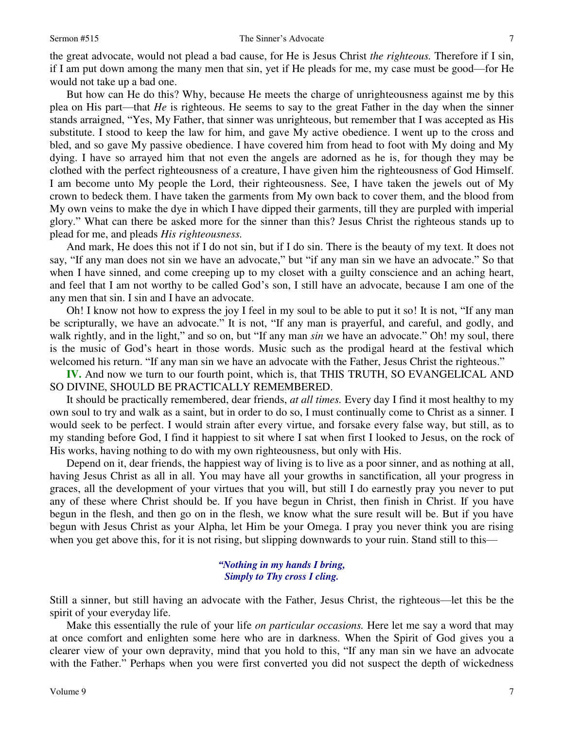the great advocate, would not plead a bad cause, for He is Jesus Christ *the righteous.* Therefore if I sin, if I am put down among the many men that sin, yet if He pleads for me, my case must be good—for He would not take up a bad one.

But how can He do this? Why, because He meets the charge of unrighteousness against me by this plea on His part—that *He* is righteous. He seems to say to the great Father in the day when the sinner stands arraigned, "Yes, My Father, that sinner was unrighteous, but remember that I was accepted as His substitute. I stood to keep the law for him, and gave My active obedience. I went up to the cross and bled, and so gave My passive obedience. I have covered him from head to foot with My doing and My dying. I have so arrayed him that not even the angels are adorned as he is, for though they may be clothed with the perfect righteousness of a creature, I have given him the righteousness of God Himself. I am become unto My people the Lord, their righteousness. See, I have taken the jewels out of My crown to bedeck them. I have taken the garments from My own back to cover them, and the blood from My own veins to make the dye in which I have dipped their garments, till they are purpled with imperial glory." What can there be asked more for the sinner than this? Jesus Christ the righteous stands up to plead for me, and pleads *His righteousness.*

And mark, He does this not if I do not sin, but if I do sin. There is the beauty of my text. It does not say, "If any man does not sin we have an advocate," but "if any man sin we have an advocate." So that when I have sinned, and come creeping up to my closet with a guilty conscience and an aching heart, and feel that I am not worthy to be called God's son, I still have an advocate, because I am one of the any men that sin. I sin and I have an advocate.

Oh! I know not how to express the joy I feel in my soul to be able to put it so! It is not, "If any man be scripturally, we have an advocate." It is not, "If any man is prayerful, and careful, and godly, and walk rightly, and in the light," and so on, but "If any man *sin* we have an advocate." Oh! my soul, there is the music of God's heart in those words. Music such as the prodigal heard at the festival which welcomed his return. "If any man sin we have an advocate with the Father, Jesus Christ the righteous."

**IV.** And now we turn to our fourth point, which is, that THIS TRUTH, SO EVANGELICAL AND SO DIVINE, SHOULD BE PRACTICALLY REMEMBERED.

It should be practically remembered, dear friends, *at all times.* Every day I find it most healthy to my own soul to try and walk as a saint, but in order to do so, I must continually come to Christ as a sinner*.* I would seek to be perfect. I would strain after every virtue, and forsake every false way, but still, as to my standing before God, I find it happiest to sit where I sat when first I looked to Jesus, on the rock of His works, having nothing to do with my own righteousness, but only with His.

Depend on it, dear friends, the happiest way of living is to live as a poor sinner, and as nothing at all, having Jesus Christ as all in all. You may have all your growths in sanctification, all your progress in graces, all the development of your virtues that you will, but still I do earnestly pray you never to put any of these where Christ should be. If you have begun in Christ, then finish in Christ. If you have begun in the flesh, and then go on in the flesh, we know what the sure result will be. But if you have begun with Jesus Christ as your Alpha, let Him be your Omega. I pray you never think you are rising when you get above this, for it is not rising, but slipping downwards to your ruin. Stand still to this—

### *"Nothing in my hands I bring, Simply to Thy cross I cling.*

Still a sinner, but still having an advocate with the Father, Jesus Christ, the righteous—let this be the spirit of your everyday life.

Make this essentially the rule of your life *on particular occasions.* Here let me say a word that may at once comfort and enlighten some here who are in darkness. When the Spirit of God gives you a clearer view of your own depravity, mind that you hold to this, "If any man sin we have an advocate with the Father." Perhaps when you were first converted you did not suspect the depth of wickedness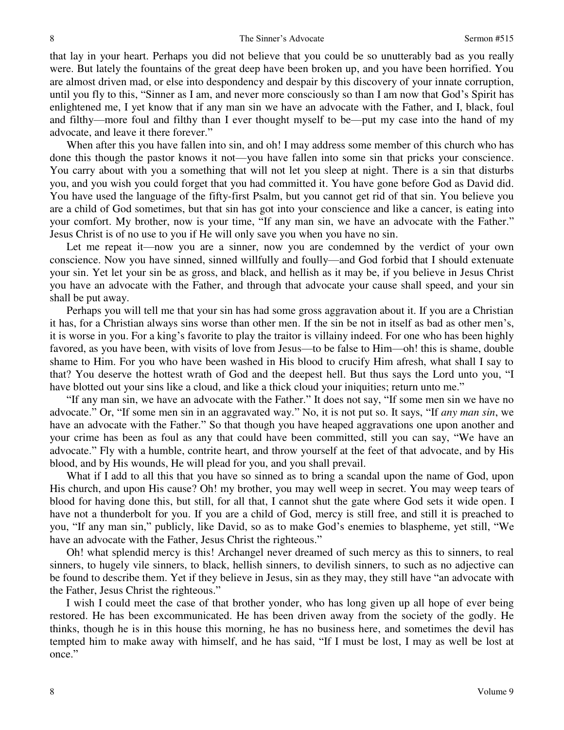that lay in your heart. Perhaps you did not believe that you could be so unutterably bad as you really were. But lately the fountains of the great deep have been broken up, and you have been horrified. You are almost driven mad, or else into despondency and despair by this discovery of your innate corruption, until you fly to this, "Sinner as I am, and never more consciously so than I am now that God's Spirit has enlightened me, I yet know that if any man sin we have an advocate with the Father, and I, black, foul and filthy—more foul and filthy than I ever thought myself to be—put my case into the hand of my advocate, and leave it there forever."

When after this you have fallen into sin, and oh! I may address some member of this church who has done this though the pastor knows it not—you have fallen into some sin that pricks your conscience. You carry about with you a something that will not let you sleep at night. There is a sin that disturbs you, and you wish you could forget that you had committed it. You have gone before God as David did. You have used the language of the fifty-first Psalm, but you cannot get rid of that sin. You believe you are a child of God sometimes, but that sin has got into your conscience and like a cancer, is eating into your comfort. My brother, now is your time, "If any man sin, we have an advocate with the Father." Jesus Christ is of no use to you if He will only save you when you have no sin.

Let me repeat it—now you are a sinner, now you are condemned by the verdict of your own conscience. Now you have sinned, sinned willfully and foully—and God forbid that I should extenuate your sin. Yet let your sin be as gross, and black, and hellish as it may be, if you believe in Jesus Christ you have an advocate with the Father, and through that advocate your cause shall speed, and your sin shall be put away.

Perhaps you will tell me that your sin has had some gross aggravation about it. If you are a Christian it has, for a Christian always sins worse than other men. If the sin be not in itself as bad as other men's, it is worse in you. For a king's favorite to play the traitor is villainy indeed. For one who has been highly favored, as you have been, with visits of love from Jesus—to be false to Him—oh! this is shame, double shame to Him. For you who have been washed in His blood to crucify Him afresh, what shall I say to that? You deserve the hottest wrath of God and the deepest hell. But thus says the Lord unto you, "I have blotted out your sins like a cloud, and like a thick cloud your iniquities; return unto me."

"If any man sin, we have an advocate with the Father." It does not say, "If some men sin we have no advocate." Or, "If some men sin in an aggravated way." No, it is not put so. It says, "If *any man sin*, we have an advocate with the Father." So that though you have heaped aggravations one upon another and your crime has been as foul as any that could have been committed, still you can say, "We have an advocate." Fly with a humble, contrite heart, and throw yourself at the feet of that advocate, and by His blood, and by His wounds, He will plead for you, and you shall prevail.

What if I add to all this that you have so sinned as to bring a scandal upon the name of God, upon His church, and upon His cause? Oh! my brother, you may well weep in secret. You may weep tears of blood for having done this, but still, for all that, I cannot shut the gate where God sets it wide open. I have not a thunderbolt for you. If you are a child of God, mercy is still free, and still it is preached to you, "If any man sin," publicly, like David, so as to make God's enemies to blaspheme, yet still, "We have an advocate with the Father, Jesus Christ the righteous."

Oh! what splendid mercy is this! Archangel never dreamed of such mercy as this to sinners, to real sinners, to hugely vile sinners, to black, hellish sinners, to devilish sinners, to such as no adjective can be found to describe them. Yet if they believe in Jesus, sin as they may, they still have "an advocate with the Father, Jesus Christ the righteous."

I wish I could meet the case of that brother yonder, who has long given up all hope of ever being restored. He has been excommunicated. He has been driven away from the society of the godly. He thinks, though he is in this house this morning, he has no business here, and sometimes the devil has tempted him to make away with himself, and he has said, "If I must be lost, I may as well be lost at once."